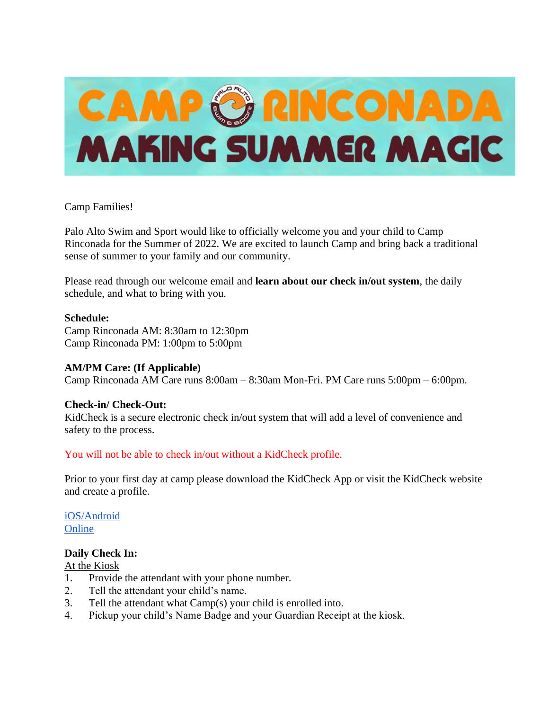

## Camp Families!

Palo Alto Swim and Sport would like to officially welcome you and your child to Camp Rinconada for the Summer of 2022. We are excited to launch Camp and bring back a traditional sense of summer to your family and our community.

Please read through our welcome email and **learn about our check in/out system**, the daily schedule, and what to bring with you.

### **Schedule:**

Camp Rinconada AM: 8:30am to 12:30pm Camp Rinconada PM: 1:00pm to 5:00pm

### **AM/PM Care: (If Applicable)**

Camp Rinconada AM Care runs 8:00am – 8:30am Mon-Fri. PM Care runs 5:00pm – 6:00pm.

### **Check-in/ Check-Out:**

KidCheck is a secure electronic check in/out system that will add a level of convenience and safety to the process.

### You will not be able to check in/out without a KidCheck profile.

Prior to your first day at camp please download the KidCheck App or visit the KidCheck website and create a profile.

[iOS/Android](https://go.kidcheck.com/kcmobileapp.html?Name=Team%20Sheeper&ID=11193) **[Online](https://go.kidcheck.com/signin.aspx?action=register&customerid=11193&logoid=11193)** 

### **Daily Check In:**

At the Kiosk

- 1. Provide the attendant with your phone number.
- 2. Tell the attendant your child's name.
- 3. Tell the attendant what Camp(s) your child is enrolled into.
- 4. Pickup your child's Name Badge and your Guardian Receipt at the kiosk.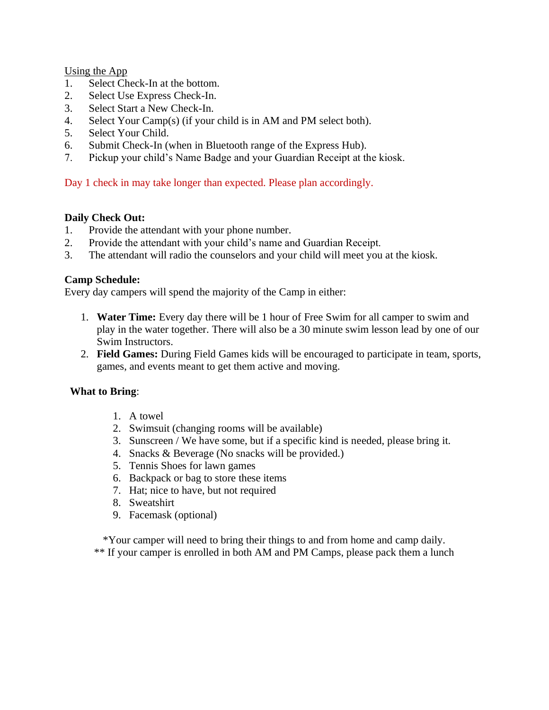Using the App

- 1. Select Check-In at the bottom.
- 2. Select Use Express Check-In.
- 3. Select Start a New Check-In.
- 4. Select Your Camp(s) (if your child is in AM and PM select both).
- 5. Select Your Child.
- 6. Submit Check-In (when in Bluetooth range of the Express Hub).
- 7. Pickup your child's Name Badge and your Guardian Receipt at the kiosk.

# Day 1 check in may take longer than expected. Please plan accordingly.

## **Daily Check Out:**

- 1. Provide the attendant with your phone number.
- 2. Provide the attendant with your child's name and Guardian Receipt.
- 3. The attendant will radio the counselors and your child will meet you at the kiosk.

## **Camp Schedule:**

Every day campers will spend the majority of the Camp in either:

- 1. **Water Time:** Every day there will be 1 hour of Free Swim for all camper to swim and play in the water together. There will also be a 30 minute swim lesson lead by one of our Swim Instructors.
- 2. **Field Games:** During Field Games kids will be encouraged to participate in team, sports, games, and events meant to get them active and moving.

### **What to Bring**:

- 1. A towel
- 2. Swimsuit (changing rooms will be available)
- 3. Sunscreen / We have some, but if a specific kind is needed, please bring it.
- 4. Snacks & Beverage (No snacks will be provided.)
- 5. Tennis Shoes for lawn games
- 6. Backpack or bag to store these items
- 7. Hat; nice to have, but not required
- 8. Sweatshirt
- 9. Facemask (optional)

\*Your camper will need to bring their things to and from home and camp daily. \*\* If your camper is enrolled in both AM and PM Camps, please pack them a lunch